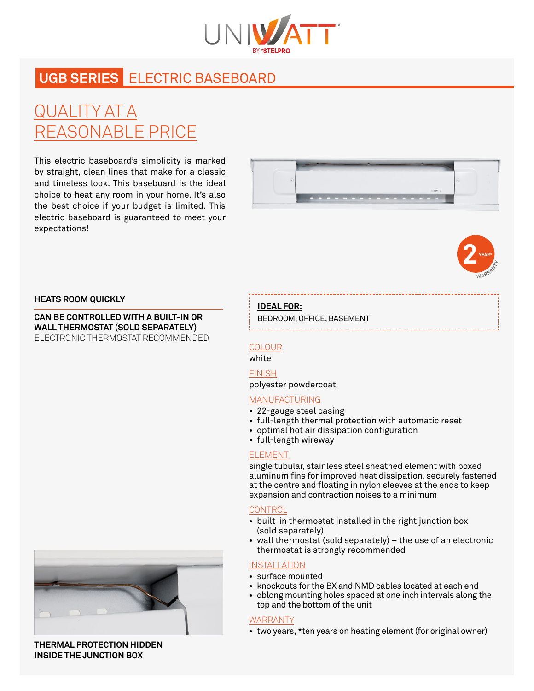

# **UGB SERIES** ELECTRIC BASEBOARD

# QUALITY AT A REASONABLE PRICE

This electric baseboard's simplicity is marked by straight, clean lines that make for a classic and timeless look. This baseboard is the ideal choice to heat any room in your home. It's also the best choice if your budget is limited. This electric baseboard is guaranteed to meet your expectations!





#### **HEATS ROOM QUICKLY**

**CAN BE CONTROLLED WITH A BUILT-IN OR WALL THERMOSTAT (SOLD SEPARATELY)** ELECTRONIC THERMOSTAT RECOMMENDED

## **IDEAL FOR:**

BEDROOM, OFFICE, BASEMENT

### **COLOUR**

## white

## FINISH

polyester powdercoat

## MANUFACTURING

- 22-gauge steel casing
- full-length thermal protection with automatic reset
- optimal hot air dissipation configuration
- full-length wireway

## ELEMENT

single tubular, stainless steel sheathed element with boxed aluminum fins for improved heat dissipation, securely fastened at the centre and floating in nylon sleeves at the ends to keep expansion and contraction noises to a minimum

### **CONTROL**

- built-in thermostat installed in the right junction box (sold separately)
- wall thermostat (sold separately) the use of an electronic thermostat is strongly recommended

## INSTALLATION

- surface mounted
- knockouts for the BX and NMD cables located at each end
- oblong mounting holes spaced at one inch intervals along the top and the bottom of the unit

### WARRANTY

• two years, \*ten years on heating element (for original owner)

**THERMAL PROTECTION HIDDEN INSIDE THE JUNCTION BOX**